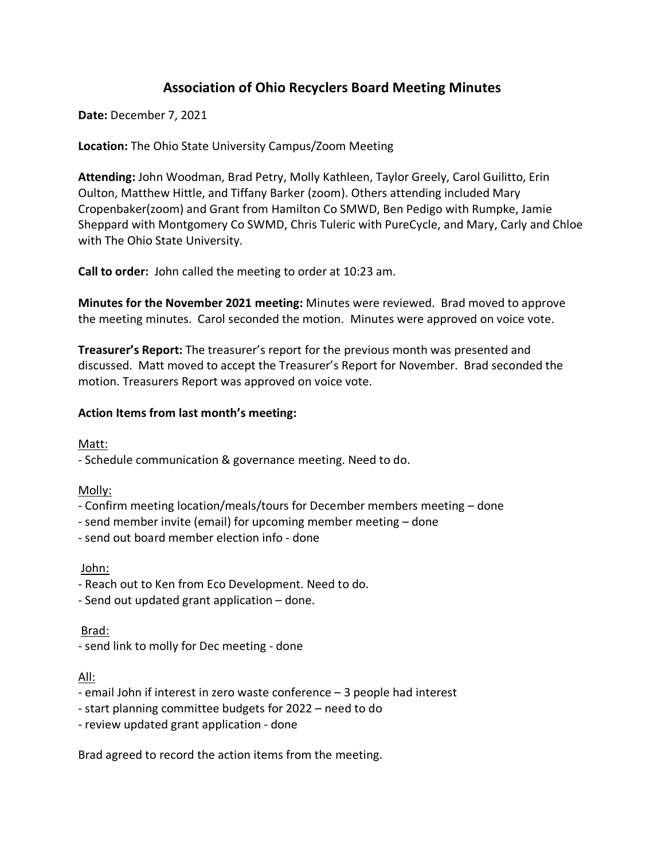# **Association of Ohio Recyclers Board Meeting Minutes**

**Date:** December 7, 2021

## **Location:** The Ohio State University Campus/Zoom Meeting

**Attending:** John Woodman, Brad Petry, Molly Kathleen, Taylor Greely, Carol Guilitto, Erin Oulton, Matthew Hittle, and Tiffany Barker (zoom). Others attending included Mary Cropenbaker(zoom) and Grant from Hamilton Co SMWD, Ben Pedigo with Rumpke, Jamie Sheppard with Montgomery Co SWMD, Chris Tuleric with PureCycle, and Mary, Carly and Chloe with The Ohio State University.

**Call to order:** John called the meeting to order at 10:23 am.

**Minutes for the November 2021 meeting:** Minutes were reviewed. Brad moved to approve the meeting minutes. Carol seconded the motion. Minutes were approved on voice vote.

**Treasurer's Report:** The treasurer's report for the previous month was presented and discussed. Matt moved to accept the Treasurer's Report for November. Brad seconded the motion. Treasurers Report was approved on voice vote.

### **Action Items from last month's meeting:**

Matt:

- Schedule communication & governance meeting. Need to do.

Molly:

- Confirm meeting location/meals/tours for December members meeting – done

- send member invite (email) for upcoming member meeting – done

- send out board member election info - done

John:

- Reach out to Ken from Eco Development. Need to do.

- Send out updated grant application – done.

### Brad:

- send link to molly for Dec meeting - done

All:

- email John if interest in zero waste conference – 3 people had interest

- start planning committee budgets for 2022 need to do
- review updated grant application done

Brad agreed to record the action items from the meeting.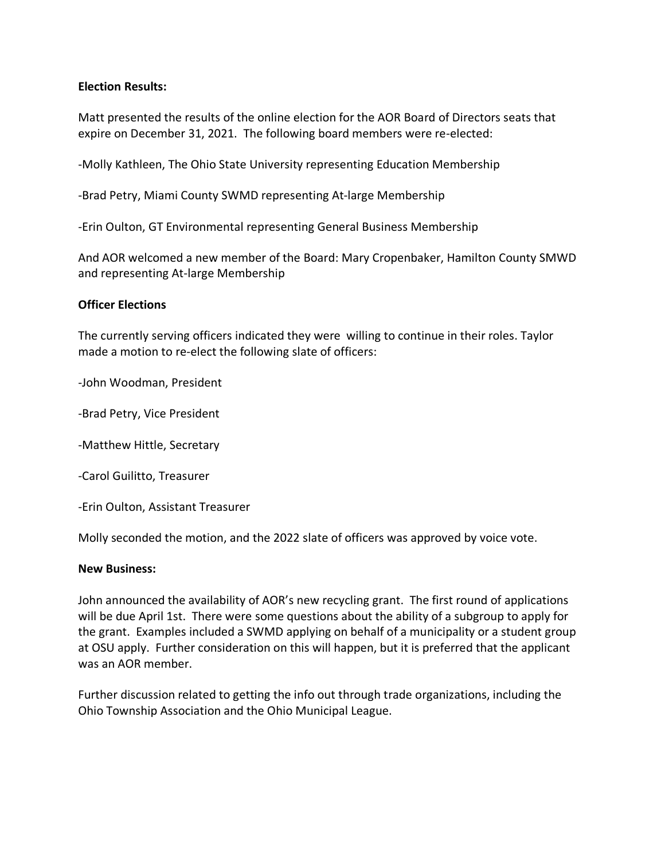### **Election Results:**

Matt presented the results of the online election for the AOR Board of Directors seats that expire on December 31, 2021. The following board members were re-elected:

-Molly Kathleen, The Ohio State University representing Education Membership

-Brad Petry, Miami County SWMD representing At-large Membership

-Erin Oulton, GT Environmental representing General Business Membership

And AOR welcomed a new member of the Board: Mary Cropenbaker, Hamilton County SMWD and representing At-large Membership

#### **Officer Elections**

The currently serving officers indicated they were willing to continue in their roles. Taylor made a motion to re-elect the following slate of officers:

-John Woodman, President

-Brad Petry, Vice President

-Matthew Hittle, Secretary

-Carol Guilitto, Treasurer

-Erin Oulton, Assistant Treasurer

Molly seconded the motion, and the 2022 slate of officers was approved by voice vote.

#### **New Business:**

John announced the availability of AOR's new recycling grant. The first round of applications will be due April 1st. There were some questions about the ability of a subgroup to apply for the grant. Examples included a SWMD applying on behalf of a municipality or a student group at OSU apply. Further consideration on this will happen, but it is preferred that the applicant was an AOR member.

Further discussion related to getting the info out through trade organizations, including the Ohio Township Association and the Ohio Municipal League.